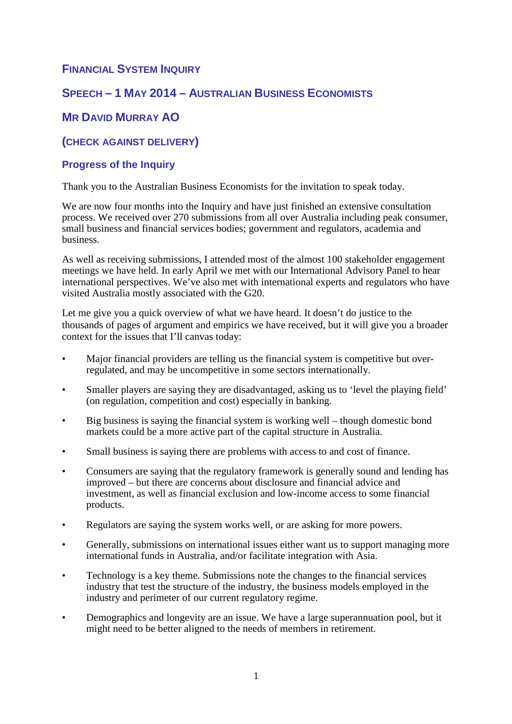# **FINANCIAL SYSTEM INQUIRY**

# **SPEECH – 1 MAY 2014 – AUSTRALIAN BUSINESS ECONOMISTS**

# **MR DAVID MURRAY AO**

# **(CHECK AGAINST DELIVERY)**

## **Progress of the Inquiry**

Thank you to the Australian Business Economists for the invitation to speak today.

We are now four months into the Inquiry and have just finished an extensive consultation process. We received over 270 submissions from all over Australia including peak consumer, small business and financial services bodies; government and regulators, academia and business.

As well as receiving submissions, I attended most of the almost 100 stakeholder engagement meetings we have held. In early April we met with our International Advisory Panel to hear international perspectives. We've also met with international experts and regulators who have visited Australia mostly associated with the G20.

Let me give you a quick overview of what we have heard. It doesn't do justice to the thousands of pages of argument and empirics we have received, but it will give you a broader context for the issues that I'll canvas today:

- Major financial providers are telling us the financial system is competitive but overregulated, and may be uncompetitive in some sectors internationally.
- Smaller players are saying they are disadvantaged, asking us to 'level the playing field' (on regulation, competition and cost) especially in banking.
- Big business is saying the financial system is working well though domestic bond markets could be a more active part of the capital structure in Australia.
- Small business is saying there are problems with access to and cost of finance.
- Consumers are saying that the regulatory framework is generally sound and lending has improved – but there are concerns about disclosure and financial advice and investment, as well as financial exclusion and low-income access to some financial products.
- Regulators are saying the system works well, or are asking for more powers.
- Generally, submissions on international issues either want us to support managing more international funds in Australia, and/or facilitate integration with Asia.
- Technology is a key theme. Submissions note the changes to the financial services industry that test the structure of the industry, the business models employed in the industry and perimeter of our current regulatory regime.
- Demographics and longevity are an issue. We have a large superannuation pool, but it might need to be better aligned to the needs of members in retirement.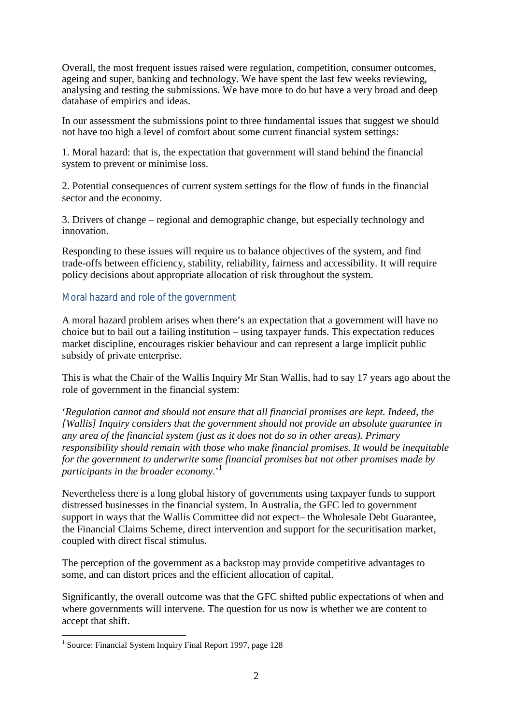Overall, the most frequent issues raised were regulation, competition, consumer outcomes, ageing and super, banking and technology. We have spent the last few weeks reviewing, analysing and testing the submissions. We have more to do but have a very broad and deep database of empirics and ideas.

In our assessment the submissions point to three fundamental issues that suggest we should not have too high a level of comfort about some current financial system settings:

1. Moral hazard: that is, the expectation that government will stand behind the financial system to prevent or minimise loss.

2. Potential consequences of current system settings for the flow of funds in the financial sector and the economy.

3. Drivers of change – regional and demographic change, but especially technology and innovation.

Responding to these issues will require us to balance objectives of the system, and find trade-offs between efficiency, stability, reliability, fairness and accessibility. It will require policy decisions about appropriate allocation of risk throughout the system.

### Moral hazard and role of the government

A moral hazard problem arises when there's an expectation that a government will have no choice but to bail out a failing institution – using taxpayer funds. This expectation reduces market discipline, encourages riskier behaviour and can represent a large implicit public subsidy of private enterprise.

This is what the Chair of the Wallis Inquiry Mr Stan Wallis, had to say 17 years ago about the role of government in the financial system:

'*Regulation cannot and should not ensure that all financial promises are kept. Indeed, the [Wallis] Inquiry considers that the government should not provide an absolute guarantee in any area of the financial system (just as it does not do so in other areas). Primary responsibility should remain with those who make financial promises. It would be inequitable for the government to underwrite some financial promises but not other promises made by participants in the broader economy*.'<sup>1</sup>

Nevertheless there is a long global history of governments using taxpayer funds to support distressed businesses in the financial system. In Australia, the GFC led to government support in ways that the Wallis Committee did not expect– the Wholesale Debt Guarantee, the Financial Claims Scheme, direct intervention and support for the securitisation market, coupled with direct fiscal stimulus.

The perception of the government as a backstop may provide competitive advantages to some, and can distort prices and the efficient allocation of capital.

Significantly, the overall outcome was that the GFC shifted public expectations of when and where governments will intervene. The question for us now is whether we are content to accept that shift.

 1 Source: Financial System Inquiry Final Report 1997, page 128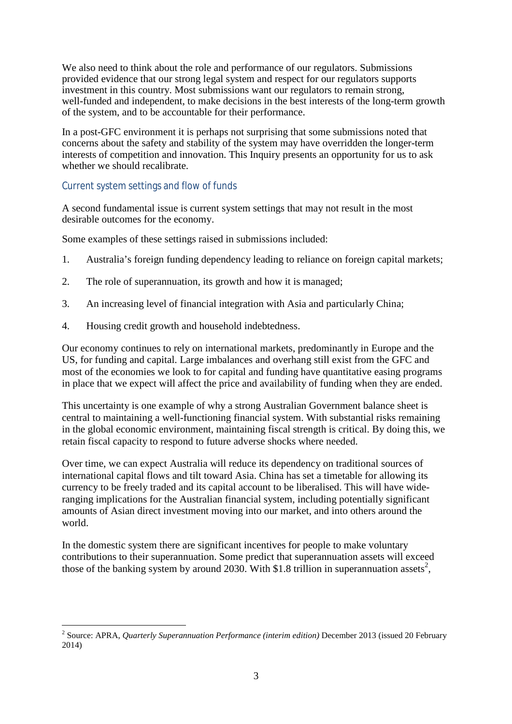We also need to think about the role and performance of our regulators. Submissions provided evidence that our strong legal system and respect for our regulators supports investment in this country. Most submissions want our regulators to remain strong, well-funded and independent, to make decisions in the best interests of the long-term growth of the system, and to be accountable for their performance.

In a post-GFC environment it is perhaps not surprising that some submissions noted that concerns about the safety and stability of the system may have overridden the longer-term interests of competition and innovation. This Inquiry presents an opportunity for us to ask whether we should recalibrate.

### Current system settings and flow of funds

 $\overline{a}$ 

A second fundamental issue is current system settings that may not result in the most desirable outcomes for the economy.

Some examples of these settings raised in submissions included:

- 1. Australia's foreign funding dependency leading to reliance on foreign capital markets;
- 2. The role of superannuation, its growth and how it is managed;
- 3. An increasing level of financial integration with Asia and particularly China;
- 4. Housing credit growth and household indebtedness.

Our economy continues to rely on international markets, predominantly in Europe and the US, for funding and capital. Large imbalances and overhang still exist from the GFC and most of the economies we look to for capital and funding have quantitative easing programs in place that we expect will affect the price and availability of funding when they are ended.

This uncertainty is one example of why a strong Australian Government balance sheet is central to maintaining a well-functioning financial system. With substantial risks remaining in the global economic environment, maintaining fiscal strength is critical. By doing this, we retain fiscal capacity to respond to future adverse shocks where needed.

Over time, we can expect Australia will reduce its dependency on traditional sources of international capital flows and tilt toward Asia. China has set a timetable for allowing its currency to be freely traded and its capital account to be liberalised. This will have wideranging implications for the Australian financial system, including potentially significant amounts of Asian direct investment moving into our market, and into others around the world.

In the domestic system there are significant incentives for people to make voluntary contributions to their superannuation. Some predict that superannuation assets will exceed those of the banking system by around 2030. With \$1.8 trillion in superannuation assets<sup>2</sup>,

<sup>2</sup> Source: APRA, *Quarterly Superannuation Performance (interim edition)* December 2013 (issued 20 February 2014)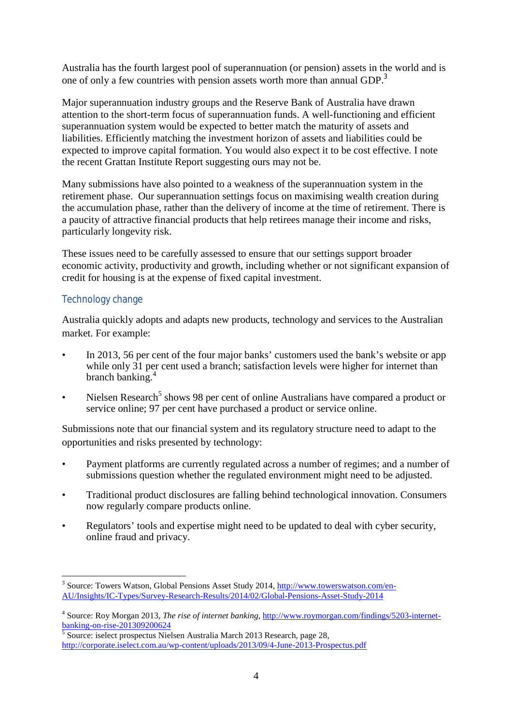Australia has the fourth largest pool of superannuation (or pension) assets in the world and is one of only a few countries with pension assets worth more than annual GDP.<sup>3</sup>

Major superannuation industry groups and the Reserve Bank of Australia have drawn attention to the short-term focus of superannuation funds. A well-functioning and efficient superannuation system would be expected to better match the maturity of assets and liabilities. Efficiently matching the investment horizon of assets and liabilities could be expected to improve capital formation. You would also expect it to be cost effective. I note the recent Grattan Institute Report suggesting ours may not be.

Many submissions have also pointed to a weakness of the superannuation system in the retirement phase. Our superannuation settings focus on maximising wealth creation during the accumulation phase, rather than the delivery of income at the time of retirement. There is a paucity of attractive financial products that help retirees manage their income and risks, particularly longevity risk.

These issues need to be carefully assessed to ensure that our settings support broader economic activity, productivity and growth, including whether or not significant expansion of credit for housing is at the expense of fixed capital investment.

## Technology change

Australia quickly adopts and adapts new products, technology and services to the Australian market. For example:

- In 2013, 56 per cent of the four major banks' customers used the bank's website or app while only 31 per cent used a branch; satisfaction levels were higher for internet than branch banking. 4
- Nielsen Research<sup>5</sup> shows 98 per cent of online Australians have compared a product or service online; 97 per cent have purchased a product or service online.

Submissions note that our financial system and its regulatory structure need to adapt to the opportunities and risks presented by technology:

- Payment platforms are currently regulated across a number of regimes; and a number of submissions question whether the regulated environment might need to be adjusted.
- Traditional product disclosures are falling behind technological innovation. Consumers now regularly compare products online.
- Regulators' tools and expertise might need to be updated to deal with cyber security, online fraud and privacy.

 $\overline{a}$ <sup>3</sup> Source: Towers Watson, Global Pensions Asset Study 2014,<http://www.towerswatson.com/en>-AU/Insights/IC-Types/Survey-Research-Results/2014/02/Global-Pensions-Asset-Study-2014

<sup>4</sup> Source: Roy Morgan 2013, *The rise of internet banking*,<http://www.roymorgan.com/findings/5203-internet>banking-on-rise-201309200624

<sup>&</sup>lt;sup>5</sup> Source: iselect prospectus Nielsen Australia March 2013 Research, page 28, <http://corporate.iselect.com.au/wp-content/uploads/2013/09/4-June-2013-Prospectus.pdf>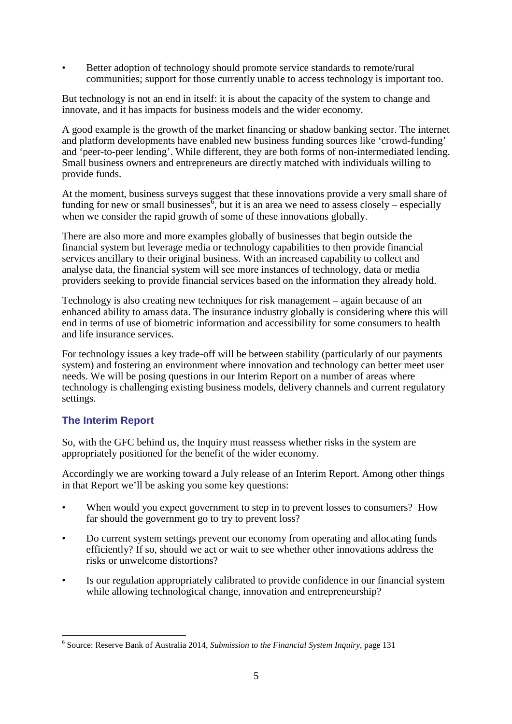• Better adoption of technology should promote service standards to remote/rural communities; support for those currently unable to access technology is important too.

But technology is not an end in itself: it is about the capacity of the system to change and innovate, and it has impacts for business models and the wider economy.

A good example is the growth of the market financing or shadow banking sector. The internet and platform developments have enabled new business funding sources like 'crowd-funding' and 'peer-to-peer lending'. While different, they are both forms of non-intermediated lending. Small business owners and entrepreneurs are directly matched with individuals willing to provide funds.

At the moment, business surveys suggest that these innovations provide a very small share of funding for new or small businesses, but it is an area we need to assess closely – especially when we consider the rapid growth of some of these innovations globally.

There are also more and more examples globally of businesses that begin outside the financial system but leverage media or technology capabilities to then provide financial services ancillary to their original business. With an increased capability to collect and analyse data, the financial system will see more instances of technology, data or media providers seeking to provide financial services based on the information they already hold.

Technology is also creating new techniques for risk management – again because of an enhanced ability to amass data. The insurance industry globally is considering where this will end in terms of use of biometric information and accessibility for some consumers to health and life insurance services.

For technology issues a key trade-off will be between stability (particularly of our payments system) and fostering an environment where innovation and technology can better meet user needs. We will be posing questions in our Interim Report on a number of areas where technology is challenging existing business models, delivery channels and current regulatory settings.

### **The Interim Report**

 $\overline{a}$ 

So, with the GFC behind us, the Inquiry must reassess whether risks in the system are appropriately positioned for the benefit of the wider economy.

Accordingly we are working toward a July release of an Interim Report. Among other things in that Report we'll be asking you some key questions:

- When would you expect government to step in to prevent losses to consumers? How far should the government go to try to prevent loss?
- Do current system settings prevent our economy from operating and allocating funds efficiently? If so, should we act or wait to see whether other innovations address the risks or unwelcome distortions?
- Is our regulation appropriately calibrated to provide confidence in our financial system while allowing technological change, innovation and entrepreneurship?

<sup>6</sup> Source: Reserve Bank of Australia 2014, *Submission to the Financial System Inquiry*, page 131